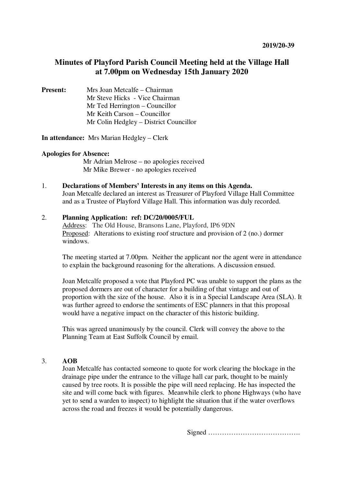## **Minutes of Playford Parish Council Meeting held at the Village Hall at 7.00pm on Wednesday 15th January 2020**

**Present:** Mrs Joan Metcalfe – Chairman Mr Steve Hicks - Vice Chairman Mr Ted Herrington – Councillor Mr Keith Carson – Councillor Mr Colin Hedgley – District Councillor

**In attendance:** Mrs Marian Hedgley – Clerk

## **Apologies for Absence:**

 Mr Adrian Melrose – no apologies received Mr Mike Brewer - no apologies received

1. **Declarations of Members' Interests in any items on this Agenda.**  Joan Metcalfe declared an interest as Treasurer of Playford Village Hall Committee and as a Trustee of Playford Village Hall. This information was duly recorded.

## 2. **Planning Application: ref: DC/20/0005/FUL**

Address: The Old House, Bransons Lane, Playford, IP6 9DN Proposed: Alterations to existing roof structure and provision of 2 (no.) dormer windows.

The meeting started at 7.00pm. Neither the applicant nor the agent were in attendance to explain the background reasoning for the alterations. A discussion ensued.

Joan Metcalfe proposed a vote that Playford PC was unable to support the plans as the proposed dormers are out of character for a building of that vintage and out of proportion with the size of the house. Also it is in a Special Landscape Area (SLA). It was further agreed to endorse the sentiments of ESC planners in that this proposal would have a negative impact on the character of this historic building.

This was agreed unanimously by the council. Clerk will convey the above to the Planning Team at East Suffolk Council by email.

## 3. **AOB**

Joan Metcalfe has contacted someone to quote for work clearing the blockage in the drainage pipe under the entrance to the village hall car park, thought to be mainly caused by tree roots. It is possible the pipe will need replacing. He has inspected the site and will come back with figures. Meanwhile clerk to phone Highways (who have yet to send a warden to inspect) to highlight the situation that if the water overflows across the road and freezes it would be potentially dangerous.

Signed ………………………………….